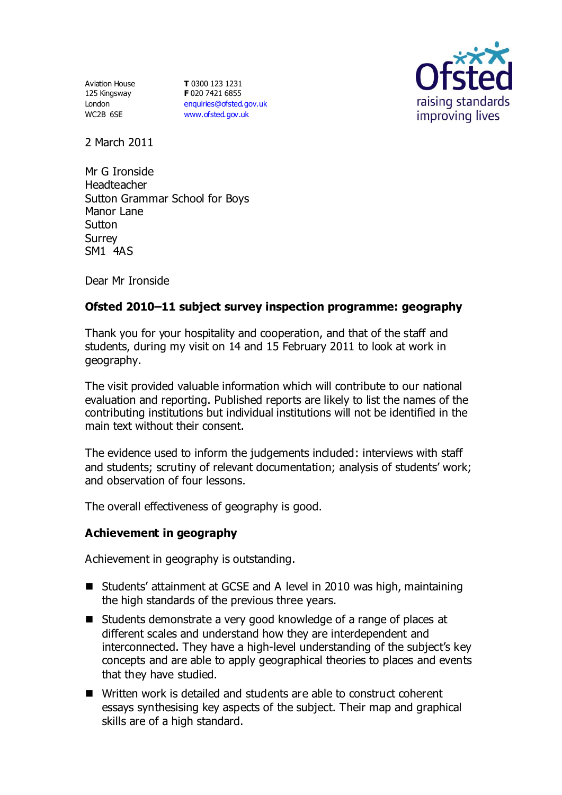Aviation House 125 Kingsway London WC2B 6SE

**T** 0300 123 1231 **F** 020 7421 6855 [enquiries@ofsted.gov.uk](mailto:enquiries@ofsted.gov.uk) [www.ofsted.gov.uk](http://www.ofsted.gov.uk/)



2 March 2011

Mr G Ironside Headteacher Sutton Grammar School for Boys Manor Lane **Sutton** Surrey SM1 4AS

Dear Mr Ironside

# **Ofsted 2010–11 subject survey inspection programme: geography**

Thank you for your hospitality and cooperation, and that of the staff and students, during my visit on 14 and 15 February 2011 to look at work in geography.

The visit provided valuable information which will contribute to our national evaluation and reporting. Published reports are likely to list the names of the contributing institutions but individual institutions will not be identified in the main text without their consent.

The evidence used to inform the judgements included: interviews with staff and students; scrutiny of relevant documentation; analysis of students' work; and observation of four lessons.

The overall effectiveness of geography is good.

### **Achievement in geography**

Achievement in geography is outstanding.

- Students' attainment at GCSE and A level in 2010 was high, maintaining the high standards of the previous three years.
- Students demonstrate a very good knowledge of a range of places at different scales and understand how they are interdependent and interconnected. They have a high-level understanding of the subject's key concepts and are able to apply geographical theories to places and events that they have studied.
- Written work is detailed and students are able to construct coherent essays synthesising key aspects of the subject. Their map and graphical skills are of a high standard.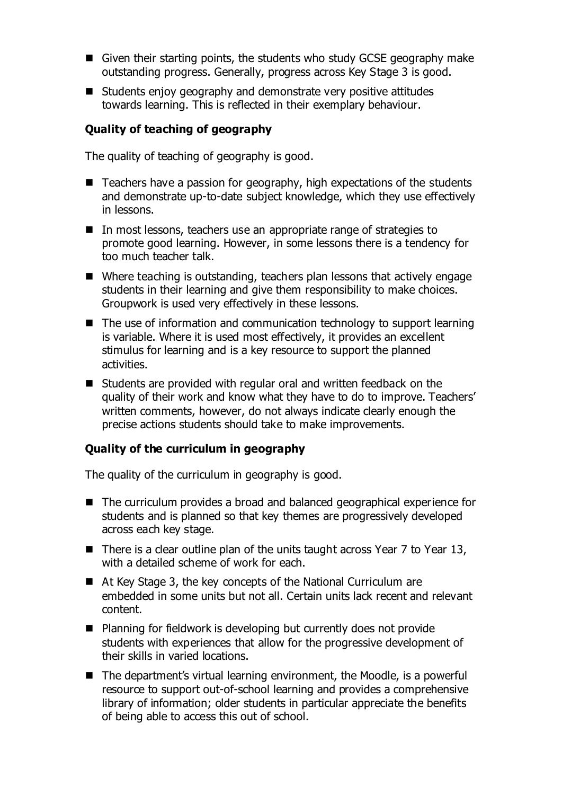- Given their starting points, the students who study GCSE geography make outstanding progress. Generally, progress across Key Stage 3 is good.
- Students enjoy geography and demonstrate very positive attitudes towards learning. This is reflected in their exemplary behaviour.

## **Quality of teaching of geography**

The quality of teaching of geography is good.

- $\blacksquare$  Teachers have a passion for geography, high expectations of the students and demonstrate up-to-date subject knowledge, which they use effectively in lessons.
- In most lessons, teachers use an appropriate range of strategies to promote good learning. However, in some lessons there is a tendency for too much teacher talk.
- Where teaching is outstanding, teachers plan lessons that actively engage students in their learning and give them responsibility to make choices. Groupwork is used very effectively in these lessons.
- The use of information and communication technology to support learning is variable. Where it is used most effectively, it provides an excellent stimulus for learning and is a key resource to support the planned activities.
- Students are provided with regular oral and written feedback on the quality of their work and know what they have to do to improve. Teachers' written comments, however, do not always indicate clearly enough the precise actions students should take to make improvements.

### **Quality of the curriculum in geography**

The quality of the curriculum in geography is good.

- The curriculum provides a broad and balanced geographical experience for students and is planned so that key themes are progressively developed across each key stage.
- There is a clear outline plan of the units taught across Year  $7$  to Year 13, with a detailed scheme of work for each.
- At Key Stage 3, the key concepts of the National Curriculum are embedded in some units but not all. Certain units lack recent and relevant content.
- Planning for fieldwork is developing but currently does not provide students with experiences that allow for the progressive development of their skills in varied locations.
- The department's virtual learning environment, the Moodle, is a powerful resource to support out-of-school learning and provides a comprehensive library of information; older students in particular appreciate the benefits of being able to access this out of school.